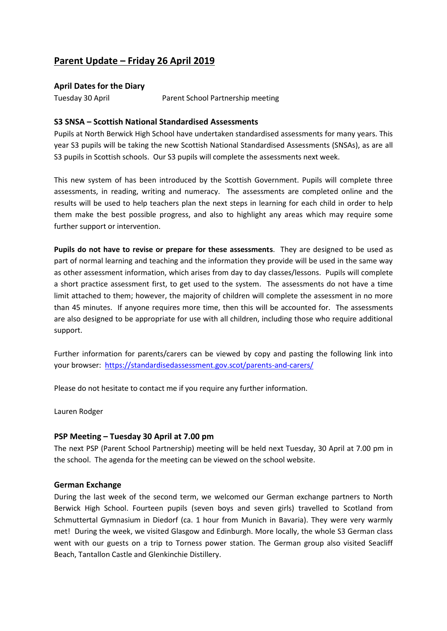# **Parent Update – Friday 26 April 2019**

**April Dates for the Diary**

Tuesday 30 April Parent School Partnership meeting

### **S3 SNSA – Scottish National Standardised Assessments**

Pupils at North Berwick High School have undertaken standardised assessments for many years. This year S3 pupils will be taking the new Scottish National Standardised Assessments (SNSAs), as are all S3 pupils in Scottish schools. Our S3 pupils will complete the assessments next week.

This new system of has been introduced by the Scottish Government. Pupils will complete three assessments, in reading, writing and numeracy. The assessments are completed online and the results will be used to help teachers plan the next steps in learning for each child in order to help them make the best possible progress, and also to highlight any areas which may require some further support or intervention.

**Pupils do not have to revise or prepare for these assessments**. They are designed to be used as part of normal learning and teaching and the information they provide will be used in the same way as other assessment information, which arises from day to day classes/lessons. Pupils will complete a short practice assessment first, to get used to the system. The assessments do not have a time limit attached to them; however, the majority of children will complete the assessment in no more than 45 minutes. If anyone requires more time, then this will be accounted for. The assessments are also designed to be appropriate for use with all children, including those who require additional support.

Further information for parents/carers can be viewed by copy and pasting the following link into your browser:<https://standardisedassessment.gov.scot/parents-and-carers/>

Please do not hesitate to contact me if you require any further information.

Lauren Rodger

#### **PSP Meeting – Tuesday 30 April at 7.00 pm**

The next PSP (Parent School Partnership) meeting will be held next Tuesday, 30 April at 7.00 pm in the school. The agenda for the meeting can be viewed on the school website.

# **German Exchange**

During the last week of the second term, we welcomed our German exchange partners to North Berwick High School. Fourteen pupils (seven boys and seven girls) travelled to Scotland from Schmuttertal Gymnasium in Diedorf (ca. 1 hour from Munich in Bavaria). They were very warmly met! During the week, we visited Glasgow and Edinburgh. More locally, the whole S3 German class went with our guests on a trip to Torness power station. The German group also visited Seacliff Beach, Tantallon Castle and Glenkinchie Distillery.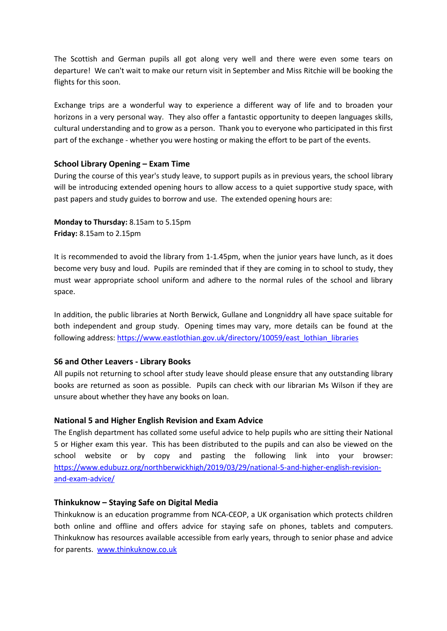The Scottish and German pupils all got along very well and there were even some tears on departure! We can't wait to make our return visit in September and Miss Ritchie will be booking the flights for this soon.

Exchange trips are a wonderful way to experience a different way of life and to broaden your horizons in a very personal way. They also offer a fantastic opportunity to deepen languages skills, cultural understanding and to grow as a person. Thank you to everyone who participated in this first part of the exchange - whether you were hosting or making the effort to be part of the events.

### **School Library Opening – Exam Time**

During the course of this year's study leave, to support pupils as in previous years, the school library will be introducing extended opening hours to allow access to a quiet supportive study space, with past papers and study guides to borrow and use. The extended opening hours are:

**Monday to Thursday:** 8.15am to 5.15pm **Friday:** 8.15am to 2.15pm

It is recommended to avoid the library from 1-1.45pm, when the junior years have lunch, as it does become very busy and loud. Pupils are reminded that if they are coming in to school to study, they must wear appropriate school uniform and adhere to the normal rules of the school and library space.

In addition, the public libraries at North Berwick, Gullane and Longniddry all have space suitable for both independent and group study. Opening times may vary, more details can be found at the following address: [https://www.eastlothian.gov.uk/directory/10059/east\\_lothian\\_libraries](https://www.eastlothian.gov.uk/directory/10059/east_lothian_libraries)

#### **S6 and Other Leavers - Library Books**

All pupils not returning to school after study leave should please ensure that any outstanding library books are returned as soon as possible. Pupils can check with our librarian Ms Wilson if they are unsure about whether they have any books on loan.

#### **National 5 and Higher English Revision and Exam Advice**

The English department has collated some useful advice to help pupils who are sitting their National 5 or Higher exam this year. This has been distributed to the pupils and can also be viewed on the school website or by copy and pasting the following link into your browser: [https://www.edubuzz.org/northberwickhigh/2019/03/29/national-5-and-higher-english-revision](https://www.edubuzz.org/northberwickhigh/2019/03/29/national-5-and-higher-english-revision-and-exam-advice/)[and-exam-advice/](https://www.edubuzz.org/northberwickhigh/2019/03/29/national-5-and-higher-english-revision-and-exam-advice/)

#### **Thinkuknow – Staying Safe on Digital Media**

Thinkuknow is an education programme from NCA-CEOP, a UK organisation which protects children both online and offline and offers advice for staying safe on phones, tablets and computers. Thinkuknow has resources available accessible from early years, through to senior phase and advice for parents. [www.thinkuknow.co.uk](http://www.thinkuknow.co.uk/)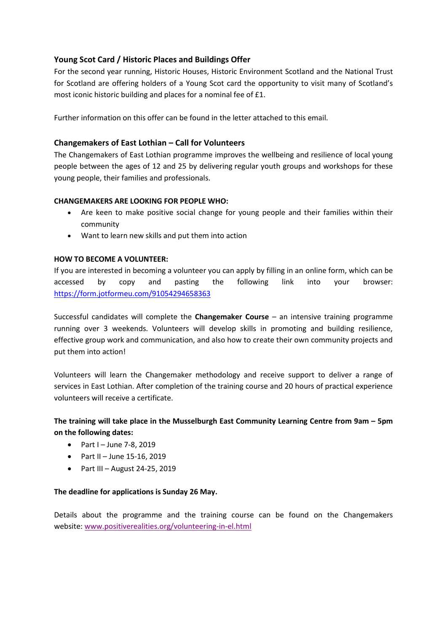# **Young Scot Card / Historic Places and Buildings Offer**

For the second year running, Historic Houses, Historic Environment Scotland and the National Trust for Scotland are offering holders of a Young Scot card the opportunity to visit many of Scotland's most iconic historic building and places for a nominal fee of £1.

Further information on this offer can be found in the letter attached to this email.

## **Changemakers of East Lothian – Call for Volunteers**

The Changemakers of East Lothian programme improves the wellbeing and resilience of local young people between the ages of 12 and 25 by delivering regular youth groups and workshops for these young people, their families and professionals.

### **CHANGEMAKERS ARE LOOKING FOR PEOPLE WHO:**

- Are keen to make positive social change for young people and their families within their community
- Want to learn new skills and put them into action

### **HOW TO BECOME A VOLUNTEER:**

If you are interested in becoming a volunteer you can apply by filling in an online form, which can be accessed by copy and pasting the following link into your browser: <https://form.jotformeu.com/91054294658363>

Successful candidates will complete the **Changemaker Course** – an intensive training programme running over 3 weekends. Volunteers will develop skills in promoting and building resilience, effective group work and communication, and also how to create their own community projects and put them into action!

Volunteers will learn the Changemaker methodology and receive support to deliver a range of services in East Lothian. After completion of the training course and 20 hours of practical experience volunteers will receive a certificate.

# **The training will take place in the Musselburgh East Community Learning Centre from 9am – 5pm on the following dates:**

- Part I June 7-8, 2019
- Part II June 15-16, 2019
- Part III August 24-25, 2019

#### **The deadline for applications is Sunday 26 May.**

Details about the programme and the training course can be found on the Changemakers website: [www.positiverealities.org/volunteering-in-el.html](http://www.positiverealities.org/volunteering-in-el.html)